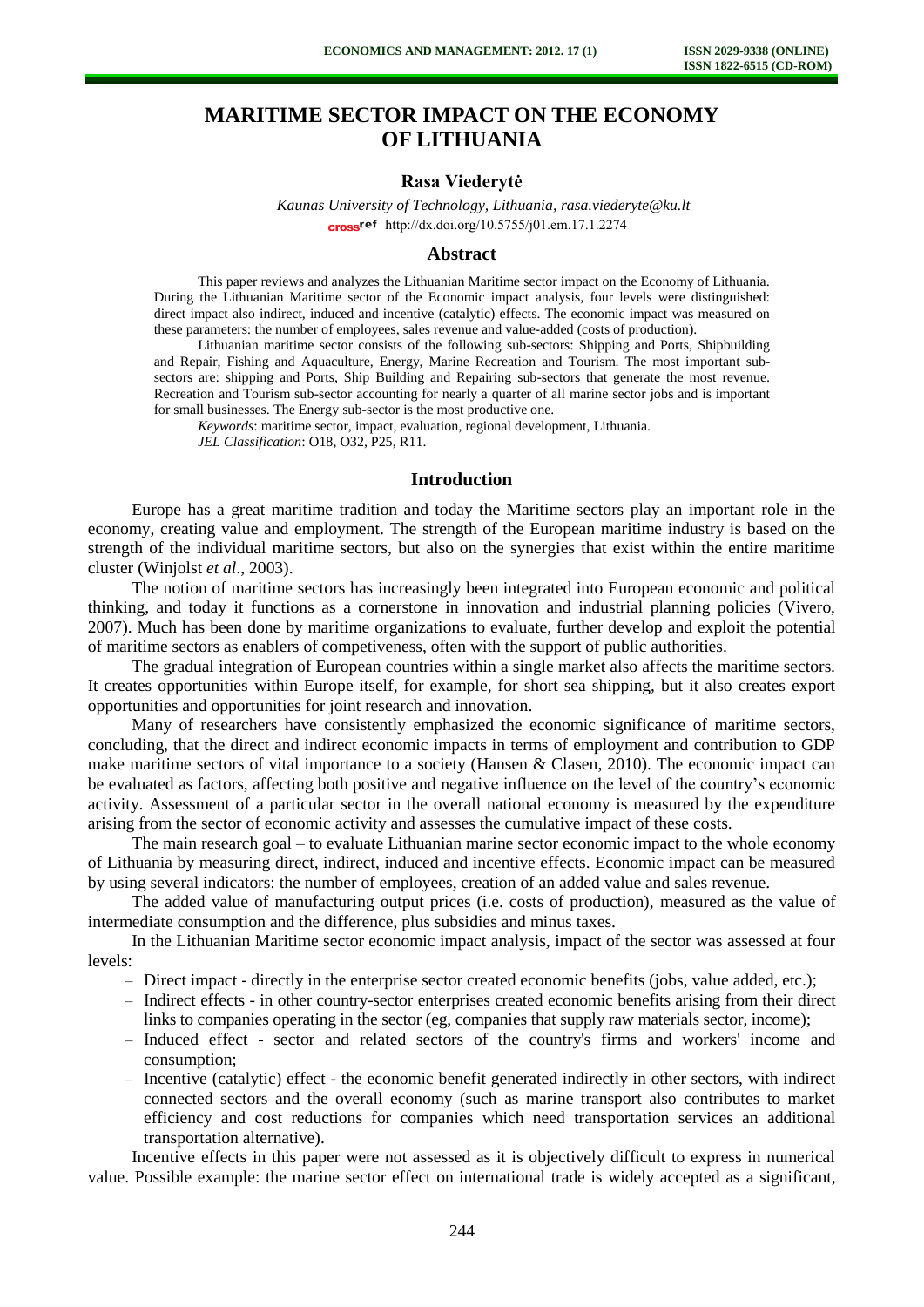# **MARITIME SECTOR IMPACT ON THE ECONOMY OF LITHUANIA**

# **Rasa Viederytė**

*Kaunas University of Technology, Lithuania, rasa.viederyte@ku.lt* cross<sup>ref</sup> [http://dx.doi.org/10.5755/j01.e](http://dx.doi.org/10.5755/j01.em.17.1.2274)m.17.1.2274

## **Abstract**

This paper reviews and analyzes the Lithuanian Maritime sector impact on the Economy of Lithuania. During the Lithuanian Maritime sector of the Economic impact analysis, four levels were distinguished: direct impact also indirect, induced and incentive (catalytic) effects. The economic impact was measured on these parameters: the number of employees, sales revenue and value-added (costs of production).

Lithuanian maritime sector consists of the following sub-sectors: Shipping and Ports, Shipbuilding and Repair, Fishing and Aquaculture, Energy, Marine Recreation and Tourism. The most important subsectors are: shipping and Ports, Ship Building and Repairing sub-sectors that generate the most revenue. Recreation and Tourism sub-sector accounting for nearly a quarter of all marine sector jobs and is important for small businesses. The Energy sub-sector is the most productive one.

*Keywords*: maritime sector, impact, evaluation, regional development, Lithuania. *JEL Classification*: O18, O32, P25, R11.

#### **Introduction**

Europe has a great maritime tradition and today the Maritime sectors play an important role in the economy, creating value and employment. The strength of the European maritime industry is based on the strength of the individual maritime sectors, but also on the synergies that exist within the entire maritime cluster (Winjolst *et al*., 2003).

The notion of maritime sectors has increasingly been integrated into European economic and political thinking, and today it functions as a cornerstone in innovation and industrial planning policies (Vivero, 2007). Much has been done by maritime organizations to evaluate, further develop and exploit the potential of maritime sectors as enablers of competiveness, often with the support of public authorities.

The gradual integration of European countries within a single market also affects the maritime sectors. It creates opportunities within Europe itself, for example, for short sea shipping, but it also creates export opportunities and opportunities for joint research and innovation.

Many of researchers have consistently emphasized the economic significance of maritime sectors, concluding, that the direct and indirect economic impacts in terms of employment and contribution to GDP make maritime sectors of vital importance to a society (Hansen & Clasen, 2010). The economic impact can be evaluated as factors, affecting both positive and negative influence on the level of the country's economic activity. Assessment of a particular sector in the overall national economy is measured by the expenditure arising from the sector of economic activity and assesses the cumulative impact of these costs.

The main research goal – to evaluate Lithuanian marine sector economic impact to the whole economy of Lithuania by measuring direct, indirect, induced and incentive effects. Economic impact can be measured by using several indicators: the number of employees, creation of an added value and sales revenue.

The added value of manufacturing output prices (i.e. costs of production), measured as the value of intermediate consumption and the difference, plus subsidies and minus taxes.

In the Lithuanian Maritime sector economic impact analysis, impact of the sector was assessed at four levels:

- Direct impact directly in the enterprise sector created economic benefits (jobs, value added, etc.);
- Indirect effects in other country-sector enterprises created economic benefits arising from their direct links to companies operating in the sector (eg, companies that supply raw materials sector, income);
- Induced effect sector and related sectors of the country's firms and workers' income and consumption;
- Incentive (catalytic) effect the economic benefit generated indirectly in other sectors, with indirect connected sectors and the overall economy (such as marine transport also contributes to market efficiency and cost reductions for companies which need transportation services an additional transportation alternative).

Incentive effects in this paper were not assessed as it is objectively difficult to express in numerical value. Possible example: the marine sector effect on international trade is widely accepted as a significant,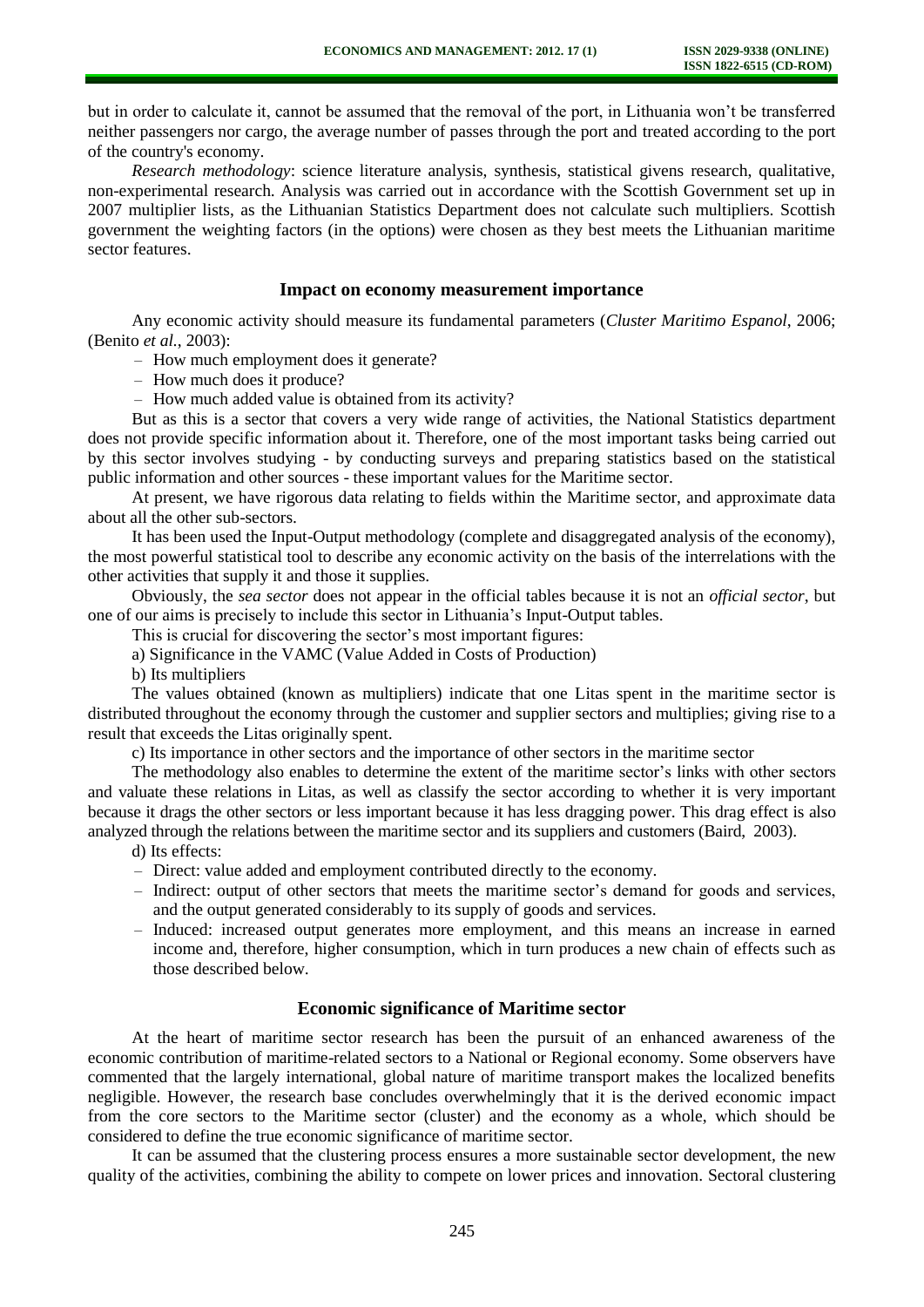but in order to calculate it, cannot be assumed that the removal of the port, in Lithuania won't be transferred neither passengers nor cargo, the average number of passes through the port and treated according to the port of the country's economy.

*Research methodology*: science literature analysis, synthesis, statistical givens research, qualitative, non-experimental research. Analysis was carried out in accordance with the Scottish Government set up in 2007 multiplier lists, as the Lithuanian Statistics Department does not calculate such multipliers. Scottish government the weighting factors (in the options) were chosen as they best meets the Lithuanian maritime sector features.

## **Impact on economy measurement importance**

Any economic activity should measure its fundamental parameters (*Cluster Maritimo Espanol*, 2006; (Benito *et al.*, 2003):

- How much employment does it generate?
- How much does it produce?
- How much added value is obtained from its activity?

But as this is a sector that covers a very wide range of activities, the National Statistics department does not provide specific information about it. Therefore, one of the most important tasks being carried out by this sector involves studying - by conducting surveys and preparing statistics based on the statistical public information and other sources - these important values for the Maritime sector.

At present, we have rigorous data relating to fields within the Maritime sector, and approximate data about all the other sub-sectors.

It has been used the Input-Output methodology (complete and disaggregated analysis of the economy), the most powerful statistical tool to describe any economic activity on the basis of the interrelations with the other activities that supply it and those it supplies.

Obviously, the *sea sector* does not appear in the official tables because it is not an *official sector*, but one of our aims is precisely to include this sector in Lithuania's Input-Output tables.

This is crucial for discovering the sector's most important figures:

a) Significance in the VAMC (Value Added in Costs of Production)

b) Its multipliers

The values obtained (known as multipliers) indicate that one Litas spent in the maritime sector is distributed throughout the economy through the customer and supplier sectors and multiplies; giving rise to a result that exceeds the Litas originally spent.

c) Its importance in other sectors and the importance of other sectors in the maritime sector

The methodology also enables to determine the extent of the maritime sector's links with other sectors and valuate these relations in Litas, as well as classify the sector according to whether it is very important because it drags the other sectors or less important because it has less dragging power. This drag effect is also analyzed through the relations between the maritime sector and its suppliers and customers (Baird, 2003).

- d) Its effects:
- Direct: value added and employment contributed directly to the economy.
- Indirect: output of other sectors that meets the maritime sector's demand for goods and services, and the output generated considerably to its supply of goods and services.
- Induced: increased output generates more employment, and this means an increase in earned income and, therefore, higher consumption, which in turn produces a new chain of effects such as those described below.

## **Economic significance of Maritime sector**

At the heart of maritime sector research has been the pursuit of an enhanced awareness of the economic contribution of maritime-related sectors to a National or Regional economy. Some observers have commented that the largely international, global nature of maritime transport makes the localized benefits negligible. However, the research base concludes overwhelmingly that it is the derived economic impact from the core sectors to the Maritime sector (cluster) and the economy as a whole, which should be considered to define the true economic significance of maritime sector.

It can be assumed that the clustering process ensures a more sustainable sector development, the new quality of the activities, combining the ability to compete on lower prices and innovation. Sectoral clustering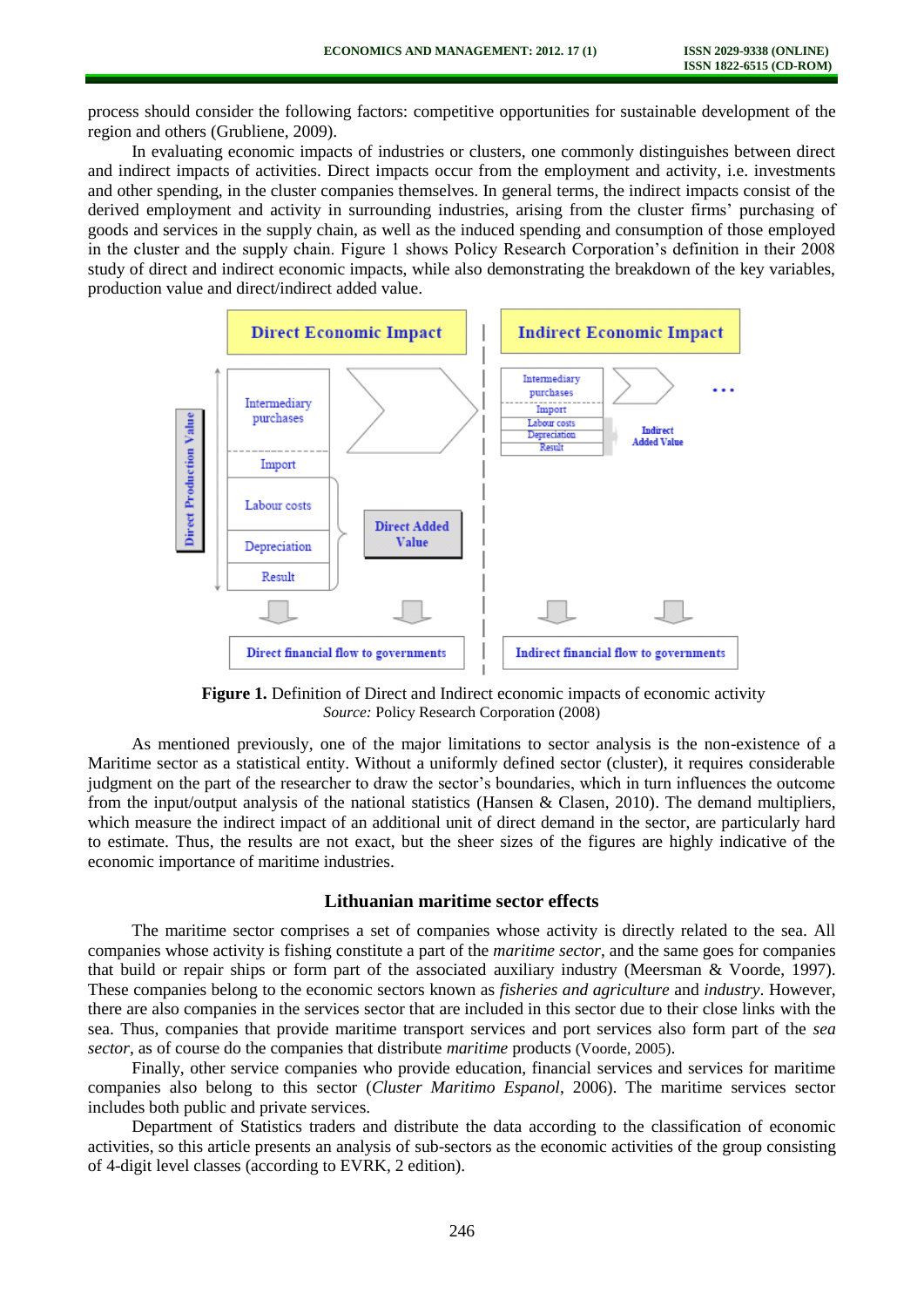process should consider the following factors: competitive opportunities for sustainable development of the region and others (Grubliene, 2009).

In evaluating economic impacts of industries or clusters, one commonly distinguishes between direct and indirect impacts of activities. Direct impacts occur from the employment and activity, i.e. investments and other spending, in the cluster companies themselves. In general terms, the indirect impacts consist of the derived employment and activity in surrounding industries, arising from the cluster firms' purchasing of goods and services in the supply chain, as well as the induced spending and consumption of those employed in the cluster and the supply chain. Figure 1 shows Policy Research Corporation's definition in their 2008 study of direct and indirect economic impacts, while also demonstrating the breakdown of the key variables, production value and direct/indirect added value.



**Figure 1.** Definition of Direct and Indirect economic impacts of economic activity *Source:* Policy Research Corporation (2008)

As mentioned previously, one of the major limitations to sector analysis is the non-existence of a Maritime sector as a statistical entity. Without a uniformly defined sector (cluster), it requires considerable judgment on the part of the researcher to draw the sector's boundaries, which in turn influences the outcome from the input/output analysis of the national statistics (Hansen & Clasen, 2010). The demand multipliers, which measure the indirect impact of an additional unit of direct demand in the sector, are particularly hard to estimate. Thus, the results are not exact, but the sheer sizes of the figures are highly indicative of the economic importance of maritime industries.

#### **Lithuanian maritime sector effects**

The maritime sector comprises a set of companies whose activity is directly related to the sea. All companies whose activity is fishing constitute a part of the *maritime sector*, and the same goes for companies that build or repair ships or form part of the associated auxiliary industry (Meersman & Voorde, 1997). These companies belong to the economic sectors known as *fisheries and agriculture* and *industry*. However, there are also companies in the services sector that are included in this sector due to their close links with the sea. Thus, companies that provide maritime transport services and port services also form part of the *sea sector*, as of course do the companies that distribute *maritime* products (Voorde, 2005).

Finally, other service companies who provide education, financial services and services for maritime companies also belong to this sector (*Cluster Maritimo Espanol*, 2006). The maritime services sector includes both public and private services.

Department of Statistics traders and distribute the data according to the classification of economic activities, so this article presents an analysis of sub-sectors as the economic activities of the group consisting of 4-digit level classes (according to EVRK, 2 edition).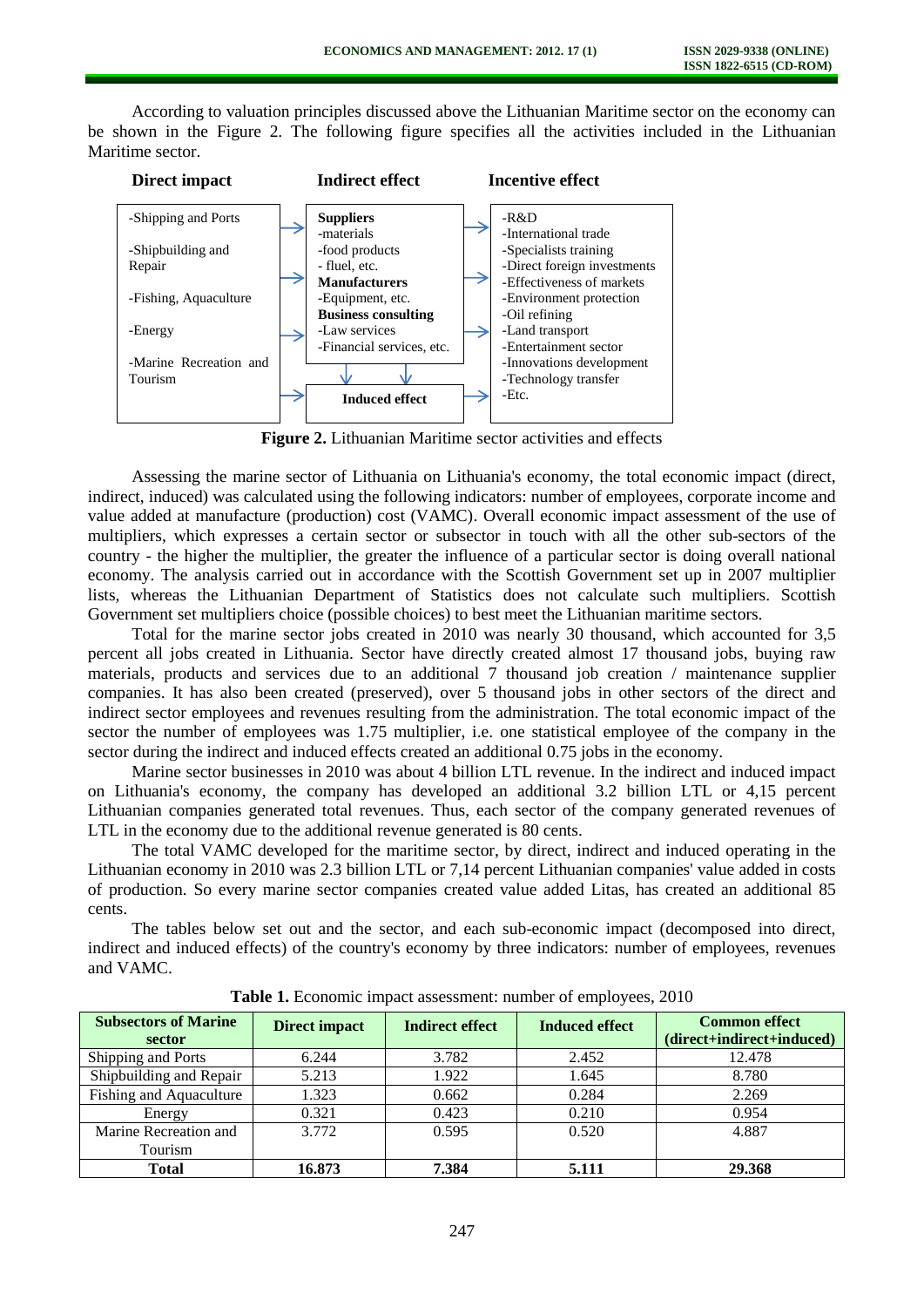According to valuation principles discussed above the Lithuanian Maritime sector on the economy can be shown in the Figure 2. The following figure specifies all the activities included in the Lithuanian Maritime sector.



**Figure 2.** Lithuanian Maritime sector activities and effects

Assessing the marine sector of Lithuania on Lithuania's economy, the total economic impact (direct, indirect, induced) was calculated using the following indicators: number of employees, corporate income and value added at manufacture (production) cost (VAMC). Overall economic impact assessment of the use of multipliers, which expresses a certain sector or subsector in touch with all the other sub-sectors of the country - the higher the multiplier, the greater the influence of a particular sector is doing overall national economy. The analysis carried out in accordance with the Scottish Government set up in 2007 multiplier lists, whereas the Lithuanian Department of Statistics does not calculate such multipliers. Scottish Government set multipliers choice (possible choices) to best meet the Lithuanian maritime sectors.

Total for the marine sector jobs created in 2010 was nearly 30 thousand, which accounted for 3,5 percent all jobs created in Lithuania. Sector have directly created almost 17 thousand jobs, buying raw materials, products and services due to an additional 7 thousand job creation / maintenance supplier companies. It has also been created (preserved), over 5 thousand jobs in other sectors of the direct and indirect sector employees and revenues resulting from the administration. The total economic impact of the sector the number of employees was 1.75 multiplier, i.e. one statistical employee of the company in the sector during the indirect and induced effects created an additional 0.75 jobs in the economy.

Marine sector businesses in 2010 was about 4 billion LTL revenue. In the indirect and induced impact on Lithuania's economy, the company has developed an additional 3.2 billion LTL or 4,15 percent Lithuanian companies generated total revenues. Thus, each sector of the company generated revenues of LTL in the economy due to the additional revenue generated is 80 cents.

The total VAMC developed for the maritime sector, by direct, indirect and induced operating in the Lithuanian economy in 2010 was 2.3 billion LTL or 7,14 percent Lithuanian companies' value added in costs of production. So every marine sector companies created value added Litas, has created an additional 85 cents.

The tables below set out and the sector, and each sub-economic impact (decomposed into direct, indirect and induced effects) of the country's economy by three indicators: number of employees, revenues and VAMC.

| <b>Subsectors of Marine</b><br>sector | <b>Direct impact</b> | <b>Indirect effect</b> | <b>Induced effect</b> | <b>Common effect</b><br>(direct+indirect+induced) |
|---------------------------------------|----------------------|------------------------|-----------------------|---------------------------------------------------|
| Shipping and Ports                    | 6.244                | 3.782                  | 2.452                 | 12.478                                            |
| Shipbuilding and Repair               | 5.213                | 1.922                  | 1.645                 | 8.780                                             |
| Fishing and Aquaculture               | 1.323                | 0.662                  | 0.284                 | 2.269                                             |
| Energy                                | 0.321                | 0.423                  | 0.210                 | 0.954                                             |
| Marine Recreation and                 | 3.772                | 0.595                  | 0.520                 | 4.887                                             |
| Tourism                               |                      |                        |                       |                                                   |
| <b>Total</b>                          | 16.873               | 7.384                  | 5.111                 | 29.368                                            |

**Table 1.** Economic impact assessment: number of employees, 2010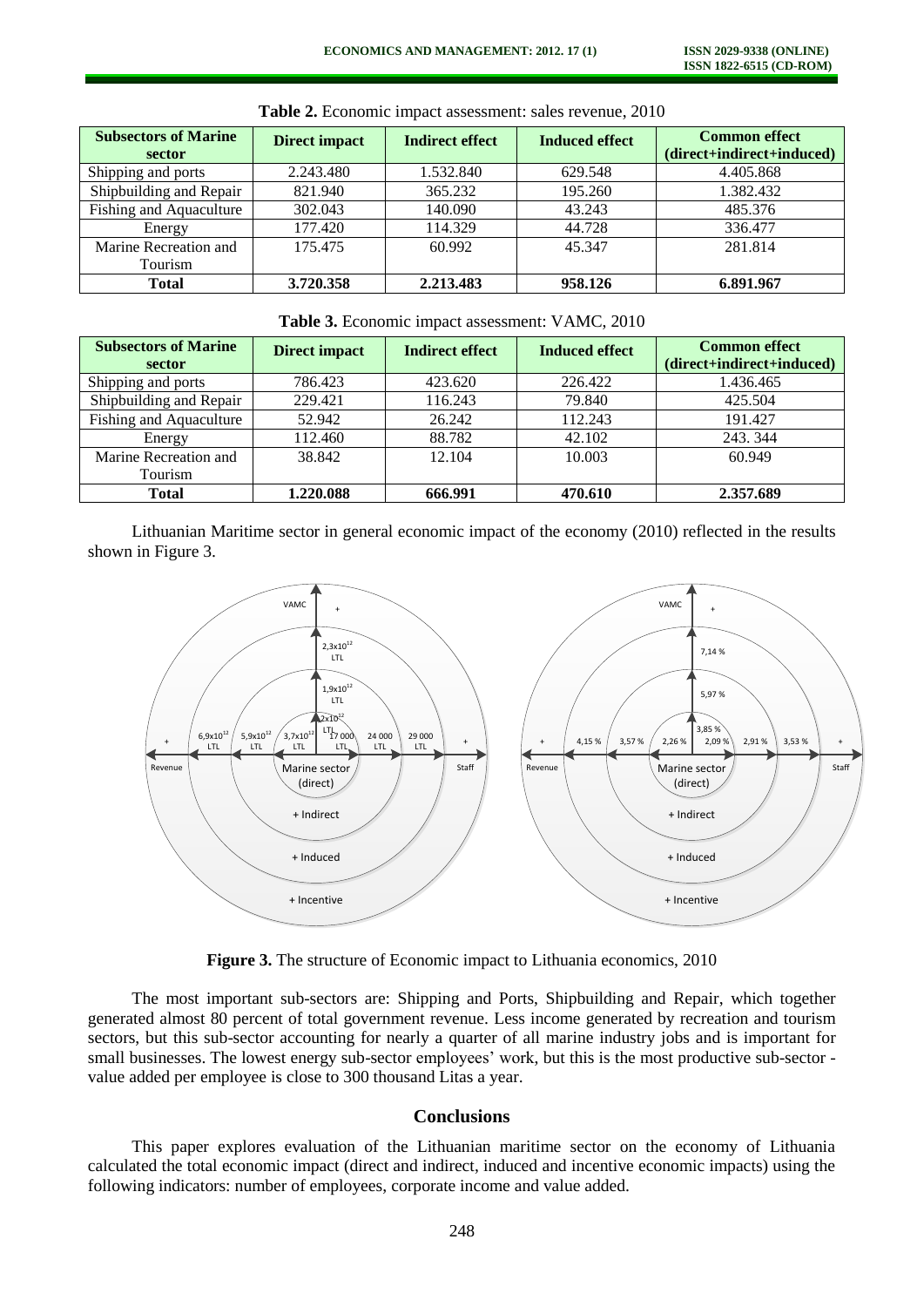| <b>Subsectors of Marine</b><br>sector | <b>Direct impact</b> | <b>Indirect effect</b> | <b>Induced effect</b> | <b>Common effect</b><br>(direct+indirect+induced) |
|---------------------------------------|----------------------|------------------------|-----------------------|---------------------------------------------------|
| Shipping and ports                    | 2.243.480            | 1.532.840              | 629.548               | 4.405.868                                         |
| Shipbuilding and Repair               | 821.940              | 365.232                | 195.260               | 1.382.432                                         |
| Fishing and Aquaculture               | 302.043              | 140.090                | 43.243                | 485.376                                           |
| Energy                                | 177.420              | 114.329                | 44.728                | 336.477                                           |
| Marine Recreation and                 | 175.475              | 60.992                 | 45.347                | 281.814                                           |
| Tourism                               |                      |                        |                       |                                                   |
| <b>Total</b>                          | 3.720.358            | 2.213.483              | 958.126               | 6.891.967                                         |

**Table 2.** Economic impact assessment: sales revenue, 2010

**Table 3.** Economic impact assessment: VAMC, 2010

| <b>Subsectors of Marine</b><br>sector | <b>Direct impact</b> | <b>Indirect effect</b> | <b>Induced effect</b> | <b>Common effect</b><br>(direct+indirect+induced) |
|---------------------------------------|----------------------|------------------------|-----------------------|---------------------------------------------------|
| Shipping and ports                    | 786.423              | 423.620                | 226.422               | 1.436.465                                         |
| Shipbuilding and Repair               | 229.421              | 116.243                | 79.840                | 425.504                                           |
| <b>Fishing and Aquaculture</b>        | 52.942               | 26.242                 | 112.243               | 191.427                                           |
| Energy                                | 112.460              | 88.782                 | 42.102                | 243, 344                                          |
| Marine Recreation and<br>Tourism      | 38.842               | 12.104                 | 10.003                | 60.949                                            |
| <b>Total</b>                          | 1.220.088            | 666.991                | 470.610               | 2.357.689                                         |

Lithuanian Maritime sector in general economic impact of the economy (2010) reflected in the results shown in Figure 3.



**Figure 3.** The structure of Economic impact to Lithuania economics, 2010

The most important sub-sectors are: Shipping and Ports, Shipbuilding and Repair, which together generated almost 80 percent of total government revenue. Less income generated by recreation and tourism sectors, but this sub-sector accounting for nearly a quarter of all marine industry jobs and is important for small businesses. The lowest energy sub-sector employees' work, but this is the most productive sub-sector value added per employee is close to 300 thousand Litas a year.

# **Conclusions**

This paper explores evaluation of the Lithuanian maritime sector on the economy of Lithuania calculated the total economic impact (direct and indirect, induced and incentive economic impacts) using the following indicators: number of employees, corporate income and value added.